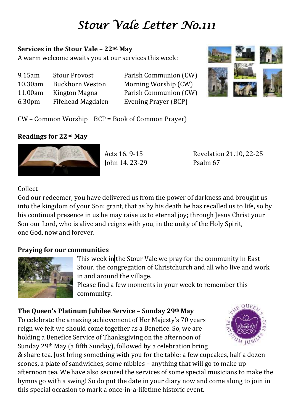# *Stour Vale Letter No.111*

## **Services in the Stour Vale – 22nd May**

A warm welcome awaits you at our services this week:

| 9.15am             | <b>Stour Provost</b>     |
|--------------------|--------------------------|
| 10.30am            | <b>Buckhorn Weston</b>   |
| 11.00am            | Kington Magna            |
| 6.30 <sub>pm</sub> | <b>Fifehead Magdalen</b> |

Parish Communion (CW) Morning Worship (CW) Parish Communion (CW) Evening Prayer (BCP)



CW – Common Worship BCP = Book of Common Prayer)

# **Readings for 22nd May**



John 14. 23-29 Psalm 67

Acts 16. 9-15 Revelation 21.10, 22-25

# Collect

God our redeemer, you have delivered us from the power of darkness and brought us into the kingdom of your Son: grant, that as by his death he has recalled us to life, so by his continual presence in us he may raise us to eternal joy; through Jesus Christ your Son our Lord, who is alive and reigns with you, in the unity of the Holy Spirit, one God, now and forever.

# **Praying for our communities**



This week in the Stour Vale we pray for the community in East Stour, the congregation of Christchurch and all who live and work in and around the village.

Please find a few moments in your week to remember this community.

# **The Queen's Platinum Jubilee Service – Sunday 29th May**

To celebrate the amazing achievement of Her Majesty's 70 years reign we felt we should come together as a Benefice. So, we are holding a Benefice Service of Thanksgiving on the afternoon of Sunday 29th May (a fifth Sunday), followed by a celebration bring



& share tea. Just bring something with you for the table: a few cupcakes, half a dozen scones, a plate of sandwiches, some nibbles – anything that will go to make up afternoon tea. We have also secured the services of some special musicians to make the hymns go with a swing! So do put the date in your diary now and come along to join in this special occasion to mark a once-in-a-lifetime historic event.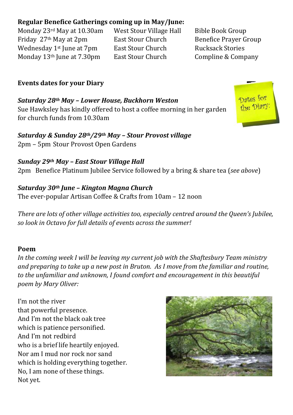# **Regular Benefice Gatherings coming up in May/June:**

Monday 23rd May at 10.30am West Stour Village Hall Bible Book Group Friday 27<sup>th</sup> May at 2pm East Stour Church Benefice Prayer Group Wednesday 1<sup>st</sup> June at 7pm East Stour Church Rucksack Stories Monday 13<sup>th</sup> June at 7.30pm East Stour Church Compline & Company

## **Events dates for your Diary**

*Saturday 28th May – Lower House, Buckhorn Weston* Sue Hawksley has kindly offered to host a coffee morning in her garden for church funds from 10.30am

*Saturday & Sunday 28th/29th May – Stour Provost village* 2pm – 5pm Stour Provost Open Gardens

*Sunday 29th May – East Stour Village Hall* 2pm Benefice Platinum Jubilee Service followed by a bring & share tea (*see above*)

*Saturday 30th June – Kington Magna Church* The ever-popular Artisan Coffee & Crafts from 10am – 12 noon

*There are lots of other village activities too, especially centred around the Queen's Jubilee, so look in Octavo for full details of events across the summer!*

#### **Poem**

*In the coming week I will be leaving my current job with the Shaftesbury Team ministry and preparing to take up a new post in Bruton. As I move from the familiar and routine, to the unfamiliar and unknown, I found comfort and encouragement in this beautiful poem by Mary Oliver:*

I'm not the river that powerful presence. And I'm not the black oak tree which is patience personified. And I'm not redbird who is a brief life heartily enjoyed. Nor am I mud nor rock nor sand which is holding everything together. No, I am none of these things. Not yet.



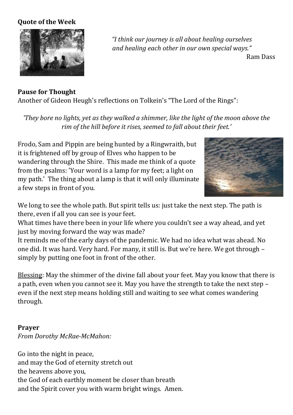#### **Quote of the Week**



*"I think our journey is all about healing ourselves and healing each other in our own special ways."*

Ram Dass

**Pause for Thought** Another of Gideon Heugh's reflections on Tolkein's "The Lord of the Rings":

*'They bore no lights, yet as they walked a shimmer, like the light of the moon above the rim of the hill before it rises, seemed to fall about their feet.'*

Frodo, Sam and Pippin are being hunted by a Ringwraith, but it is frightened off by group of Elves who happen to be wandering through the Shire. This made me think of a quote from the psalms: 'Your word is a lamp for my feet; a light on my path.' The thing about a lamp is that it will only illuminate a few steps in front of you.



We long to see the whole path. But spirit tells us: just take the next step. The path is there, even if all you can see is your feet.

What times have there been in your life where you couldn't see a way ahead, and yet just by moving forward the way was made?

It reminds me of the early days of the pandemic. We had no idea what was ahead. No one did. It was hard. Very hard. For many, it still is. But we're here. We got through – simply by putting one foot in front of the other.

Blessing: May the shimmer of the divine fall about your feet. May you know that there is a path, even when you cannot see it. May you have the strength to take the next step – even if the next step means holding still and waiting to see what comes wandering through.

#### **Prayer** *From Dorothy McRae-McMahon:*

Go into the night in peace, and may the God of eternity stretch out the heavens above you, the God of each earthly moment be closer than breath and the Spirit cover you with warm bright wings. Amen.